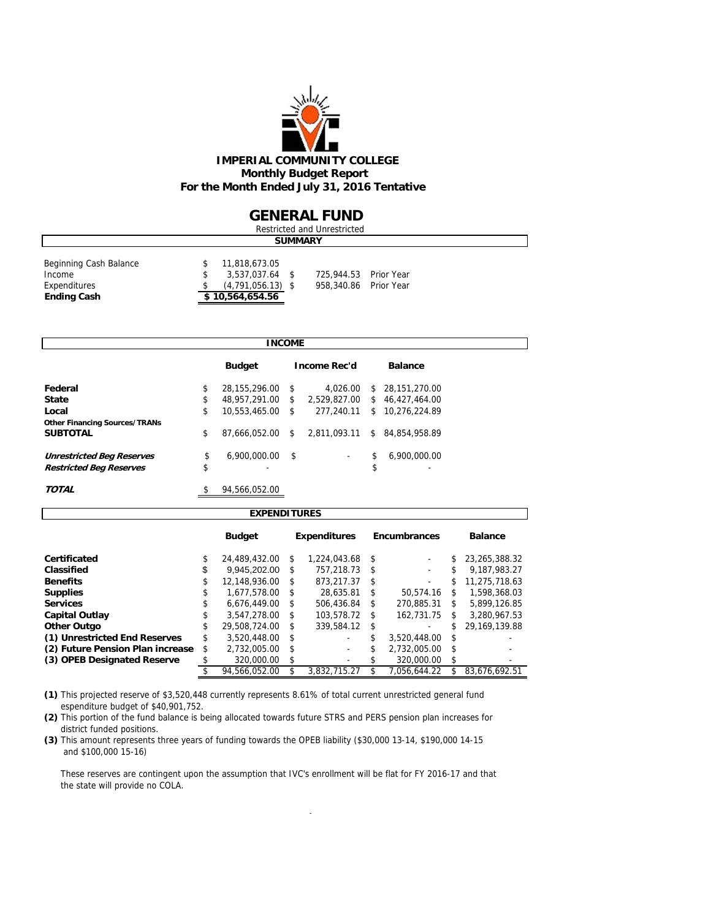

### **GENERAL FUND**

| Restricted and Unrestricted                                            |  |                                                                            |  |                                                |  |  |  |  |  |  |
|------------------------------------------------------------------------|--|----------------------------------------------------------------------------|--|------------------------------------------------|--|--|--|--|--|--|
| <b>SUMMARY</b>                                                         |  |                                                                            |  |                                                |  |  |  |  |  |  |
| Beginning Cash Balance<br>Income<br>Expenditures<br><b>Ending Cash</b> |  | 11,818,673.05<br>3,537,037.64 \$<br>$(4,791,056.13)$ \$<br>\$10,564,654.56 |  | 725,944.53 Prior Year<br>958,340.86 Prior Year |  |  |  |  |  |  |

|                                      |                        | <b>INCOME</b> |                     |                                |
|--------------------------------------|------------------------|---------------|---------------------|--------------------------------|
|                                      | <b>Budget</b>          |               | <b>Income Rec'd</b> | <b>Balance</b>                 |
| Federal                              | \$<br>28.155.296.00    | -S            | 4.026.00            | \$<br>28.151.270.00            |
| <b>State</b>                         | \$<br>48,957,291.00    | <sup>\$</sup> | 2,529,827.00        | \$<br>46,427,464.00            |
| Local                                | \$<br>10,553,465.00 \$ |               | 277.240.11          | \$<br>10,276,224.89            |
| <b>Other Financing Sources/TRANs</b> |                        |               |                     |                                |
| <b>SUBTOTAL</b>                      | \$<br>87.666.052.00    | s.            | 2.811.093.11        | \$<br>84.854.958.89            |
| <b>Unrestricted Beg Reserves</b>     | \$<br>6,900,000.00     | -\$           |                     | \$<br>6.900.000.00             |
| <b>Restricted Beg Reserves</b>       | \$                     |               |                     | \$<br>$\overline{\phantom{a}}$ |
| TOTAL                                | \$<br>94.566.052.00    |               |                     |                                |

| <b>EXPENDITURES</b>              |    |               |                     |              |            |                     |    |                |  |  |
|----------------------------------|----|---------------|---------------------|--------------|------------|---------------------|----|----------------|--|--|
|                                  |    | <b>Budget</b> | <b>Expenditures</b> |              |            | <b>Encumbrances</b> |    | <b>Balance</b> |  |  |
| Certificated                     | \$ | 24.489.432.00 | \$                  | 1,224,043.68 | -S         |                     | \$ | 23.265.388.32  |  |  |
| Classified                       | S  | 9.945.202.00  | \$                  | 757.218.73   | - \$       |                     | \$ | 9.187,983.27   |  |  |
| <b>Benefits</b>                  | \$ | 12.148.936.00 | \$                  | 873.217.37   | S          | ٠                   | \$ | 11.275.718.63  |  |  |
| <b>Supplies</b>                  | S  | 1.677.578.00  | \$                  | 28.635.81    | \$         | 50.574.16           | S  | 1,598,368.03   |  |  |
| <b>Services</b>                  |    | 6,676,449.00  | \$                  | 506,436.84   | S          | 270,885.31          | \$ | 5.899.126.85   |  |  |
| <b>Capital Outlay</b>            | \$ | 3.547.278.00  | \$                  | 103.578.72   | \$         | 162.731.75          | \$ | 3,280,967.53   |  |  |
| <b>Other Outgo</b>               | \$ | 29.508.724.00 | \$                  | 339.584.12   | \$         |                     | \$ | 29.169.139.88  |  |  |
| (1) Unrestricted End Reserves    | \$ | 3.520.448.00  | \$                  | -            | \$         | 3,520,448.00        | \$ |                |  |  |
| (2) Future Pension Plan increase | \$ | 2.732.005.00  | \$                  | ۰            | \$         | 2.732.005.00        | \$ |                |  |  |
| (3) OPEB Designated Reserve      |    | 320,000.00    | \$                  | ۰            | 320,000.00 |                     | \$ |                |  |  |
|                                  |    | 94.566.052.00 |                     | 3,832,715.27 |            | 7.056.644.22        | \$ | 83.676.692.51  |  |  |

**(1)** This projected reserve of \$3,520,448 currently represents 8.61% of total current unrestricted general fund espenditure budget of \$40,901,752.

**(2)** This portion of the fund balance is being allocated towards future STRS and PERS pension plan increases for district funded positions.

**(3)** This amount represents three years of funding towards the OPEB liability (\$30,000 13-14, \$190,000 14-15 and \$100,000 15-16)

 These reserves are contingent upon the assumption that IVC's enrollment will be flat for FY 2016-17 and that the state will provide no COLA.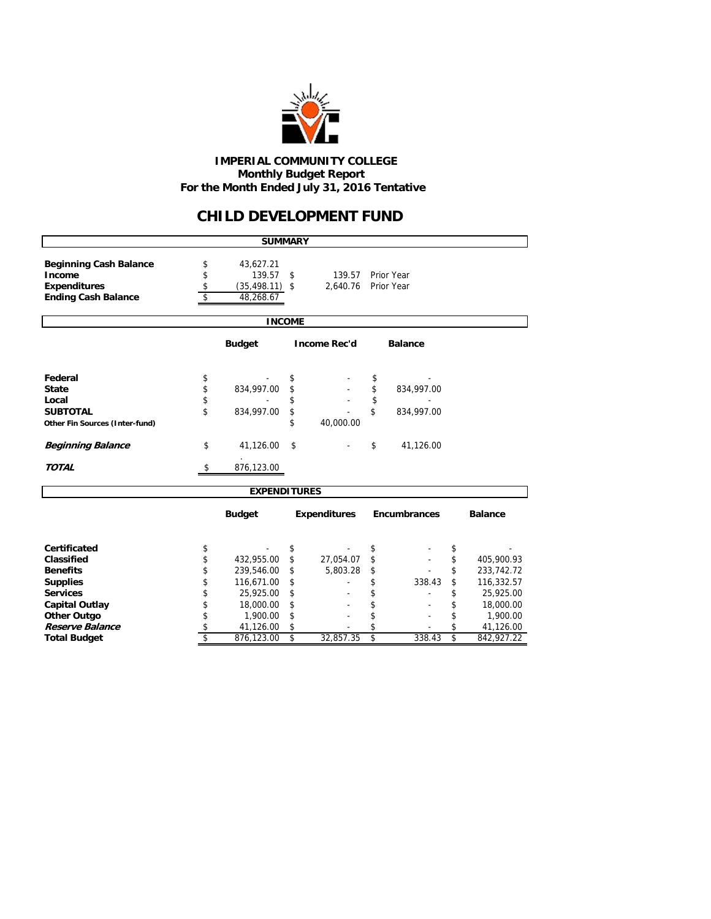

#### **IMPERIAL COMMUNITY COLLEGE Monthly Budget Report For the Month Ended July 31, 2016 Tentative**

### **CHILD DEVELOPMENT FUND**

|                                       |                               | <b>SUMMARY</b>          |                               |                     |                                |                     |          |                         |
|---------------------------------------|-------------------------------|-------------------------|-------------------------------|---------------------|--------------------------------|---------------------|----------|-------------------------|
| <b>Beginning Cash Balance</b>         | \$                            | 43,627.21               |                               |                     |                                |                     |          |                         |
| Income                                | \$                            | 139.57 \$               |                               | 139.57              |                                | Prior Year          |          |                         |
| <b>Expenditures</b>                   | \$                            | $(35, 498.11)$ \$       |                               | 2,640.76            |                                | Prior Year          |          |                         |
| <b>Ending Cash Balance</b>            | \$                            | 48,268.67               |                               |                     |                                |                     |          |                         |
|                                       |                               |                         |                               |                     |                                |                     |          |                         |
|                                       |                               |                         | <b>INCOME</b>                 |                     |                                |                     |          |                         |
|                                       |                               | <b>Budget</b>           |                               | <b>Income Rec'd</b> |                                | <b>Balance</b>      |          |                         |
| Federal                               | \$                            |                         | \$                            |                     | \$                             |                     |          |                         |
| <b>State</b>                          | \$                            | 834,997.00              | \$                            |                     | \$                             | 834,997.00          |          |                         |
| Local                                 | \$                            |                         | \$                            |                     | \$                             |                     |          |                         |
| <b>SUBTOTAL</b>                       | \$                            | 834,997.00              | \$                            |                     | \$                             | 834,997.00          |          |                         |
| Other Fin Sources (Inter-fund)        |                               |                         | \$                            | 40,000.00           |                                |                     |          |                         |
| <b>Beginning Balance</b>              | \$                            | 41,126.00               | \$                            |                     | \$                             | 41,126.00           |          |                         |
| <b>TOTAL</b>                          | \$                            | 876,123.00              |                               |                     |                                |                     |          |                         |
|                                       |                               | <b>EXPENDITURES</b>     |                               |                     |                                |                     |          |                         |
|                                       |                               | <b>Budget</b>           | <b>Expenditures</b>           |                     |                                | <b>Encumbrances</b> |          | <b>Balance</b>          |
| Certificated                          |                               |                         | \$                            |                     |                                |                     |          |                         |
| Classified                            | \$                            |                         |                               | 27,054.07           | \$                             |                     | \$<br>\$ | 405,900.93              |
| <b>Benefits</b>                       | \$                            | 432,955.00              | \$                            | 5,803.28            | \$                             |                     | \$       |                         |
|                                       | \$<br>\$                      | 239,546.00              | \$                            |                     | \$                             | 338.43              | \$       | 233,742.72              |
| <b>Supplies</b><br><b>Services</b>    | \$                            | 116,671.00              | \$<br>\$                      |                     | \$                             |                     | \$       | 116,332.57              |
|                                       |                               | 25,925.00               |                               |                     | \$                             |                     |          | 25,925.00               |
| <b>Capital Outlay</b>                 | \$<br>\$                      | 18,000.00               | \$<br>\$                      |                     | \$                             |                     | \$<br>\$ | 18,000.00               |
| <b>Other Outgo</b><br>Reserve Balance |                               | 1,900.00                |                               |                     | \$                             |                     | \$       | 1,900.00                |
| <b>Total Budget</b>                   | \$<br>$\overline{\mathbf{s}}$ | 41,126.00<br>876,123.00 | \$<br>$\overline{\mathsf{s}}$ | 32,857.35           | \$<br>$\overline{\mathcal{S}}$ | 338.43              | \$       | 41,126.00<br>842,927.22 |
|                                       |                               |                         |                               |                     |                                |                     |          |                         |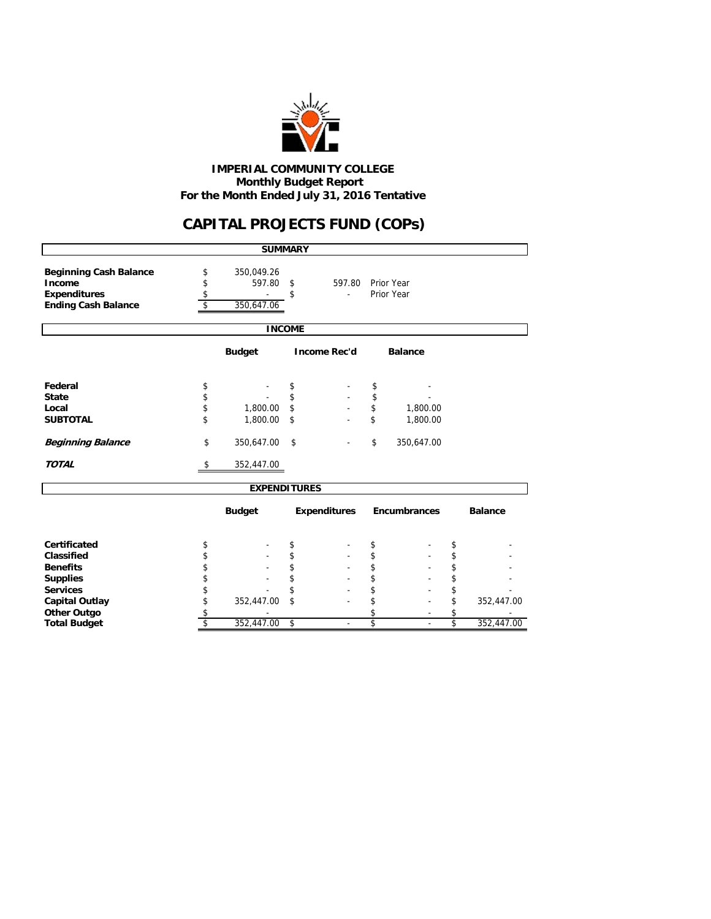

 **Monthly Budget Report For the Month Ended July 31, 2016 Tentative IMPERIAL COMMUNITY COLLEGE**

# **CAPITAL PROJECTS FUND (COPs)**

|                                                                                              |                      | <b>SUMMARY</b>                     |               |                          |              |                          |                         |                |
|----------------------------------------------------------------------------------------------|----------------------|------------------------------------|---------------|--------------------------|--------------|--------------------------|-------------------------|----------------|
| <b>Beginning Cash Balance</b><br>Income<br><b>Expenditures</b><br><b>Ending Cash Balance</b> | \$<br>\$<br>\$<br>\$ | 350,049.26<br>597.80<br>350,647.06 | \$<br>\$      | 597.80<br>٠              |              | Prior Year<br>Prior Year |                         |                |
|                                                                                              |                      |                                    | <b>INCOME</b> |                          |              |                          |                         |                |
|                                                                                              |                      | <b>Budget</b>                      |               | <b>Income Rec'd</b>      |              |                          |                         |                |
| Federal                                                                                      | \$                   |                                    | \$            |                          | \$           |                          |                         |                |
| <b>State</b>                                                                                 | \$                   |                                    | \$            |                          | \$           |                          |                         |                |
| Local                                                                                        | \$                   | 1,800.00                           | \$            |                          | \$           | 1,800.00                 |                         |                |
| <b>SUBTOTAL</b>                                                                              | \$                   | 1,800.00                           | \$            |                          | \$           | 1,800.00                 |                         |                |
| <b>Beginning Balance</b>                                                                     | \$                   | 350,647.00                         | \$            |                          | \$           | 350,647.00               |                         |                |
| <b>TOTAL</b>                                                                                 | \$                   | 352,447.00                         |               |                          |              |                          |                         |                |
|                                                                                              |                      | <b>EXPENDITURES</b>                |               |                          |              |                          |                         |                |
|                                                                                              |                      | <b>Budget</b>                      |               | <b>Expenditures</b>      | Encumbrances |                          |                         | <b>Balance</b> |
| Certificated                                                                                 | \$                   |                                    | \$            |                          | \$           |                          | \$                      |                |
| <b>Classified</b>                                                                            | \$                   |                                    | \$            |                          | \$           |                          | \$                      |                |
| <b>Benefits</b>                                                                              | \$                   |                                    | \$            |                          | \$           |                          | \$                      |                |
| <b>Supplies</b>                                                                              | \$                   |                                    | \$            |                          | \$           |                          | \$                      |                |
| <b>Services</b>                                                                              | \$                   |                                    | \$            |                          | \$           |                          | \$                      |                |
| <b>Capital Outlay</b>                                                                        | \$                   | 352,447.00                         | \$            |                          | \$           |                          | \$                      | 352,447.00     |
| <b>Other Outgo</b>                                                                           | \$                   |                                    |               |                          | \$           |                          | \$                      |                |
| <b>Total Budget</b>                                                                          | \$                   | 352,447.00                         | \$            | $\overline{\phantom{a}}$ | \$           | $\overline{\phantom{a}}$ | $\overline{\mathsf{s}}$ | 352,447.00     |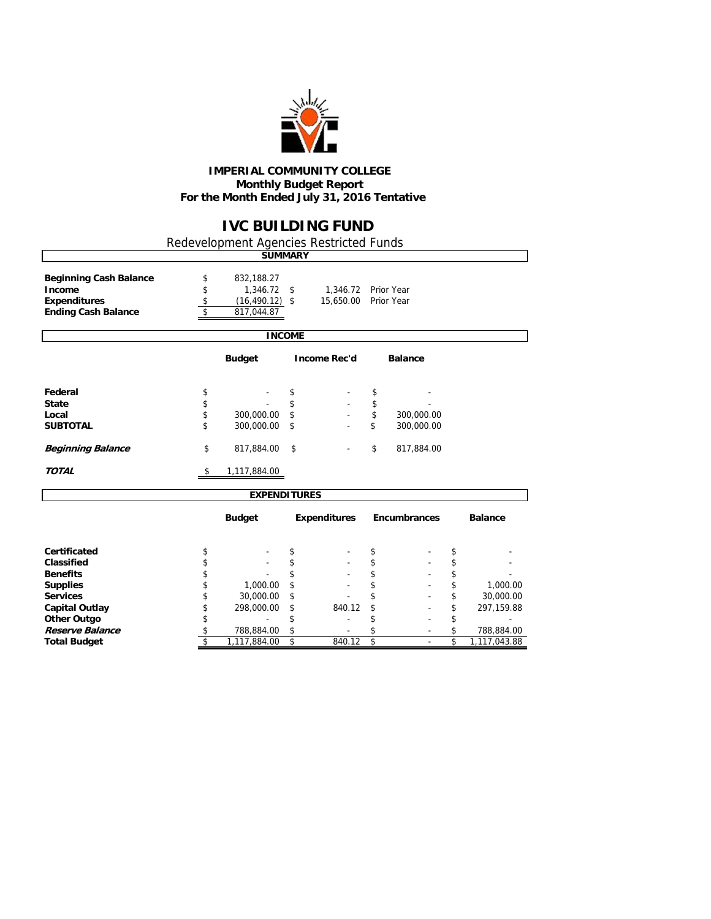

#### **IMPERIAL COMMUNITY COLLEGE Monthly Budget Report For the Month Ended July 31, 2016 Tentative**

### **IVC BUILDING FUND**

٦

Redevelopment Agencies Restricted Funds

 $\mathsf{r}$ 

|                                                                                                                                                                                     |                                                    | <b>SUMMARY</b>                                                    |                                                    |                                  |                                                    |                          |                                                    |                                                                   |
|-------------------------------------------------------------------------------------------------------------------------------------------------------------------------------------|----------------------------------------------------|-------------------------------------------------------------------|----------------------------------------------------|----------------------------------|----------------------------------------------------|--------------------------|----------------------------------------------------|-------------------------------------------------------------------|
| <b>Beginning Cash Balance</b><br>Income<br><b>Expenditures</b><br><b>Ending Cash Balance</b>                                                                                        | \$<br>\$<br>\$<br>\$                               | 832,188.27<br>$1,346.72$ \$<br>$(16, 490.12)$ \$<br>817,044.87    |                                                    | 1,346.72 Prior Year<br>15,650.00 |                                                    | Prior Year               |                                                    |                                                                   |
|                                                                                                                                                                                     |                                                    | <b>INCOME</b>                                                     |                                                    |                                  |                                                    |                          |                                                    |                                                                   |
|                                                                                                                                                                                     |                                                    | <b>Budget</b>                                                     |                                                    | <b>Income Rec'd</b>              |                                                    | <b>Balance</b>           |                                                    |                                                                   |
| Federal<br><b>State</b><br>Local<br><b>SUBTOTAL</b>                                                                                                                                 | \$<br>\$<br>\$<br>\$                               | 300,000.00<br>300,000.00                                          | \$<br>\$<br>\$<br>\$                               | $\blacksquare$                   | \$<br>\$<br>\$<br>\$                               | 300,000.00<br>300,000.00 |                                                    |                                                                   |
| <b>Beginning Balance</b>                                                                                                                                                            | \$                                                 | 817,884.00                                                        | \$                                                 |                                  | \$                                                 | 817,884.00               |                                                    |                                                                   |
| <b>TOTAL</b>                                                                                                                                                                        | \$                                                 | 1,117,884.00                                                      |                                                    |                                  |                                                    |                          |                                                    |                                                                   |
|                                                                                                                                                                                     |                                                    | <b>EXPENDITURES</b>                                               |                                                    |                                  |                                                    |                          |                                                    |                                                                   |
|                                                                                                                                                                                     |                                                    | <b>Budget</b>                                                     |                                                    | <b>Expenditures</b>              |                                                    | Encumbrances             |                                                    | <b>Balance</b>                                                    |
| Certificated<br><b>Classified</b><br><b>Benefits</b><br><b>Supplies</b><br><b>Services</b><br><b>Capital Outlay</b><br><b>Other Outgo</b><br>Reserve Balance<br><b>Total Budget</b> | \$<br>\$<br>\$<br>\$<br>\$<br>\$<br>\$<br>\$<br>\$ | 1,000.00<br>30,000.00<br>298,000.00<br>788,884.00<br>1,117,884.00 | \$<br>\$<br>\$<br>\$<br>\$<br>\$<br>\$<br>\$<br>\$ | 840.12<br>840.12                 | \$<br>\$<br>\$<br>\$<br>\$<br>\$<br>\$<br>\$<br>\$ |                          | \$<br>\$<br>\$<br>\$<br>\$<br>\$<br>\$<br>\$<br>\$ | 1,000.00<br>30,000.00<br>297,159.88<br>788,884.00<br>1,117,043.88 |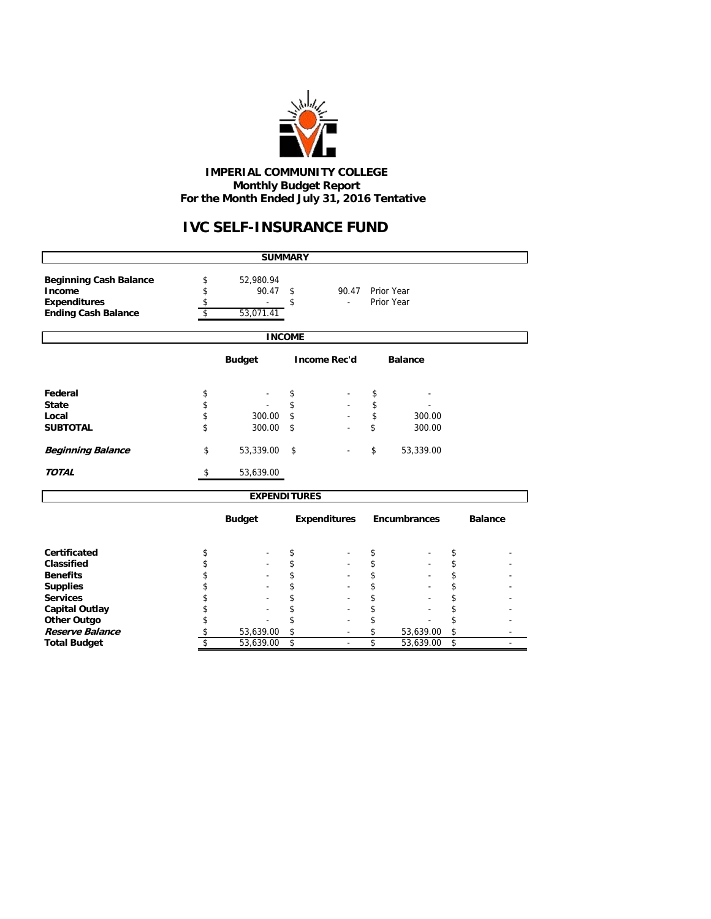

#### **IMPERIAL COMMUNITY COLLEGE Monthly Budget Report For the Month Ended July 31, 2016 Tentative**

## **IVC SELF-INSURANCE FUND**

|                               |                     | <b>SUMMARY</b> |                     |                     |                |    |                |
|-------------------------------|---------------------|----------------|---------------------|---------------------|----------------|----|----------------|
|                               |                     |                |                     |                     |                |    |                |
| <b>Beginning Cash Balance</b> | \$<br>52,980.94     |                |                     |                     |                |    |                |
| Income                        | \$<br>90.47         | \$             | 90.47               |                     | Prior Year     |    |                |
| <b>Expenditures</b>           | \$                  | \$             | ä,                  |                     | Prior Year     |    |                |
| <b>Ending Cash Balance</b>    | \$<br>53,071.41     |                |                     |                     |                |    |                |
|                               |                     | <b>INCOME</b>  |                     |                     |                |    |                |
|                               | <b>Budget</b>       |                | <b>Income Rec'd</b> |                     | <b>Balance</b> |    |                |
|                               |                     |                |                     |                     |                |    |                |
| Federal                       | \$                  | \$             |                     | \$                  |                |    |                |
| <b>State</b>                  | \$                  | \$             |                     | \$                  |                |    |                |
| Local                         | \$<br>300.00        | \$             |                     | \$                  | 300.00         |    |                |
| <b>SUBTOTAL</b>               | \$<br>300.00        | \$             |                     | \$                  | 300.00         |    |                |
|                               |                     |                |                     |                     |                |    |                |
| <b>Beginning Balance</b>      | \$<br>53,339.00     | \$             |                     | \$                  | 53,339.00      |    |                |
| <b>TOTAL</b>                  | \$<br>53,639.00     |                |                     |                     |                |    |                |
|                               | <b>EXPENDITURES</b> |                |                     |                     |                |    |                |
|                               | <b>Budget</b>       |                | <b>Expenditures</b> | <b>Encumbrances</b> |                |    | <b>Balance</b> |
| Certificated                  | \$                  | \$             |                     | \$                  |                | \$ |                |
| Classified                    | \$                  | \$             |                     | \$                  |                | \$ |                |
| <b>Benefits</b>               | \$                  | \$             |                     | \$                  |                | \$ |                |
| <b>Supplies</b>               | \$                  | \$             |                     | \$                  |                | \$ |                |
| <b>Services</b>               | \$                  | \$             |                     | \$                  |                | \$ |                |
| <b>Capital Outlay</b>         | \$                  | \$             |                     | \$                  |                | \$ |                |
| <b>Other Outgo</b>            | \$                  | \$             |                     | \$                  |                | \$ |                |
| Reserve Balance               | \$<br>53,639.00     | \$             |                     | \$                  | 53,639.00      | \$ |                |
| <b>Total Budget</b>           | \$<br>53,639.00     | \$             | ÷,                  | \$                  | 53,639.00      | \$ |                |